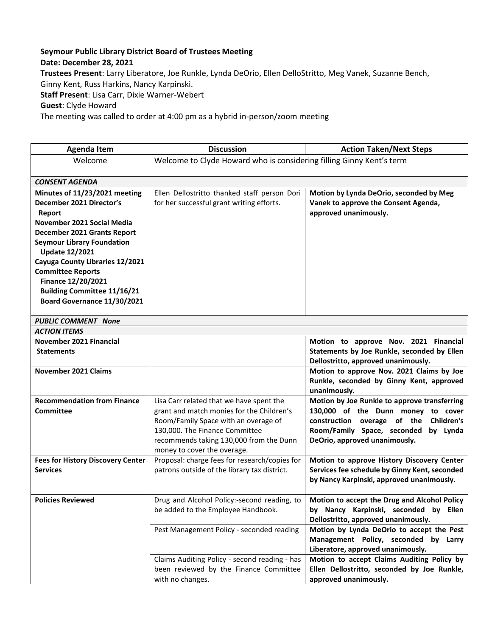## **Seymour Public Library District Board of Trustees Meeting**

## **Date: December 28, 2021**

**Trustees Present**: Larry Liberatore, Joe Runkle, Lynda DeOrio, Ellen DelloStritto, Meg Vanek, Suzanne Bench, Ginny Kent, Russ Harkins, Nancy Karpinski.

**Staff Present**: Lisa Carr, Dixie Warner-Webert

**Guest**: Clyde Howard

The meeting was called to order at 4:00 pm as a hybrid in-person/zoom meeting

| <b>Agenda Item</b>                                                                                                                                                                                                                                                                                                                                       | <b>Discussion</b>                                                                                                                                                                                                                         | <b>Action Taken/Next Steps</b>                                                                                                                                                                           |  |
|----------------------------------------------------------------------------------------------------------------------------------------------------------------------------------------------------------------------------------------------------------------------------------------------------------------------------------------------------------|-------------------------------------------------------------------------------------------------------------------------------------------------------------------------------------------------------------------------------------------|----------------------------------------------------------------------------------------------------------------------------------------------------------------------------------------------------------|--|
| Welcome                                                                                                                                                                                                                                                                                                                                                  | Welcome to Clyde Howard who is considering filling Ginny Kent's term                                                                                                                                                                      |                                                                                                                                                                                                          |  |
| <b>CONSENT AGENDA</b>                                                                                                                                                                                                                                                                                                                                    |                                                                                                                                                                                                                                           |                                                                                                                                                                                                          |  |
| Minutes of 11/23/2021 meeting<br>December 2021 Director's<br>Report<br>November 2021 Social Media<br>December 2021 Grants Report<br><b>Seymour Library Foundation</b><br><b>Update 12/2021</b><br>Cayuga County Libraries 12/2021<br><b>Committee Reports</b><br>Finance 12/20/2021<br><b>Building Committee 11/16/21</b><br>Board Governance 11/30/2021 | Ellen Dellostritto thanked staff person Dori<br>for her successful grant writing efforts.                                                                                                                                                 | Motion by Lynda DeOrio, seconded by Meg<br>Vanek to approve the Consent Agenda,<br>approved unanimously.                                                                                                 |  |
| <b>PUBLIC COMMENT None</b>                                                                                                                                                                                                                                                                                                                               |                                                                                                                                                                                                                                           |                                                                                                                                                                                                          |  |
| <b>ACTION ITEMS</b>                                                                                                                                                                                                                                                                                                                                      |                                                                                                                                                                                                                                           |                                                                                                                                                                                                          |  |
| November 2021 Financial                                                                                                                                                                                                                                                                                                                                  |                                                                                                                                                                                                                                           | Motion to approve Nov. 2021 Financial                                                                                                                                                                    |  |
| <b>Statements</b>                                                                                                                                                                                                                                                                                                                                        |                                                                                                                                                                                                                                           | Statements by Joe Runkle, seconded by Ellen<br>Dellostritto, approved unanimously.                                                                                                                       |  |
| <b>November 2021 Claims</b>                                                                                                                                                                                                                                                                                                                              |                                                                                                                                                                                                                                           | Motion to approve Nov. 2021 Claims by Joe<br>Runkle, seconded by Ginny Kent, approved<br>unanimously.                                                                                                    |  |
| <b>Recommendation from Finance</b><br><b>Committee</b>                                                                                                                                                                                                                                                                                                   | Lisa Carr related that we have spent the<br>grant and match monies for the Children's<br>Room/Family Space with an overage of<br>130,000. The Finance Committee<br>recommends taking 130,000 from the Dunn<br>money to cover the overage. | Motion by Joe Runkle to approve transferring<br>130,000 of the Dunn money to cover<br>Children's<br>construction overage of the<br>Room/Family Space, seconded by Lynda<br>DeOrio, approved unanimously. |  |
| <b>Fees for History Discovery Center</b><br><b>Services</b>                                                                                                                                                                                                                                                                                              | Proposal: charge fees for research/copies for<br>patrons outside of the library tax district.                                                                                                                                             | Motion to approve History Discovery Center<br>Services fee schedule by Ginny Kent, seconded<br>by Nancy Karpinski, approved unanimously.                                                                 |  |
| <b>Policies Reviewed</b>                                                                                                                                                                                                                                                                                                                                 | Drug and Alcohol Policy:-second reading, to<br>be added to the Employee Handbook.                                                                                                                                                         | Motion to accept the Drug and Alcohol Policy<br>by Nancy Karpinski, seconded by Ellen<br>Dellostritto, approved unanimously.                                                                             |  |
|                                                                                                                                                                                                                                                                                                                                                          | Pest Management Policy - seconded reading                                                                                                                                                                                                 | Motion by Lynda DeOrio to accept the Pest<br>Management Policy, seconded by Larry<br>Liberatore, approved unanimously.                                                                                   |  |
|                                                                                                                                                                                                                                                                                                                                                          | Claims Auditing Policy - second reading - has<br>been reviewed by the Finance Committee<br>with no changes.                                                                                                                               | Motion to accept Claims Auditing Policy by<br>Ellen Dellostritto, seconded by Joe Runkle,<br>approved unanimously.                                                                                       |  |